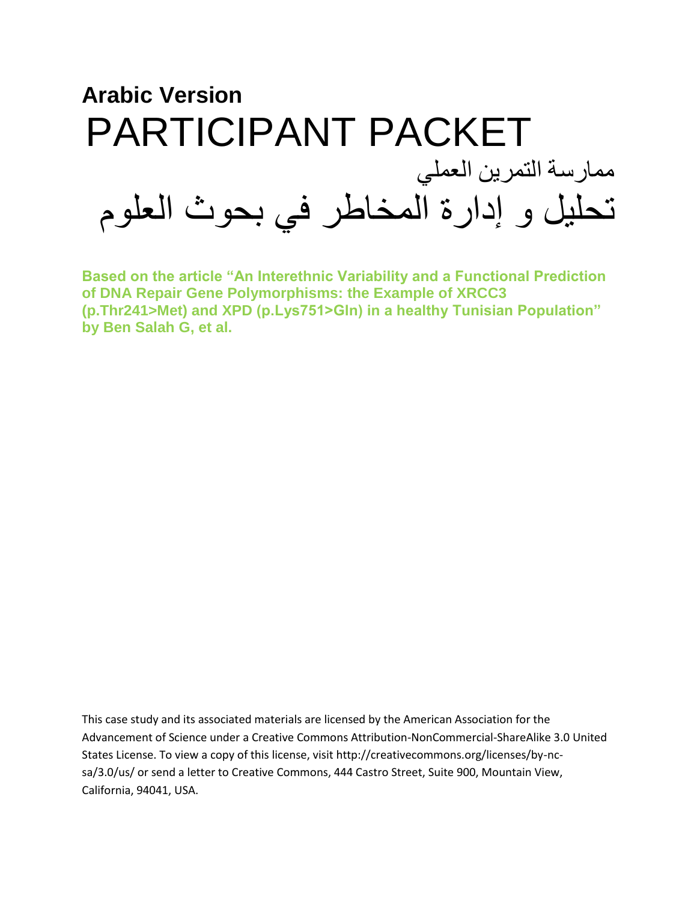

**Based on the article "An Interethnic Variability and a Functional Prediction of DNA Repair Gene Polymorphisms: the Example of XRCC3 (p.Thr241>Met) and XPD (p.Lys751>Gln) in a healthy Tunisian Population" by Ben Salah G, et al.** 

This case study and its associated materials are licensed by the American Association for the Advancement of Science under a Creative Commons Attribution-NonCommercial-ShareAlike 3.0 United States License. To view a copy of this license, visit http://creativecommons.org/licenses/by-ncsa/3.0/us/ or send a letter to Creative Commons, 444 Castro Street, Suite 900, Mountain View, California, 94041, USA.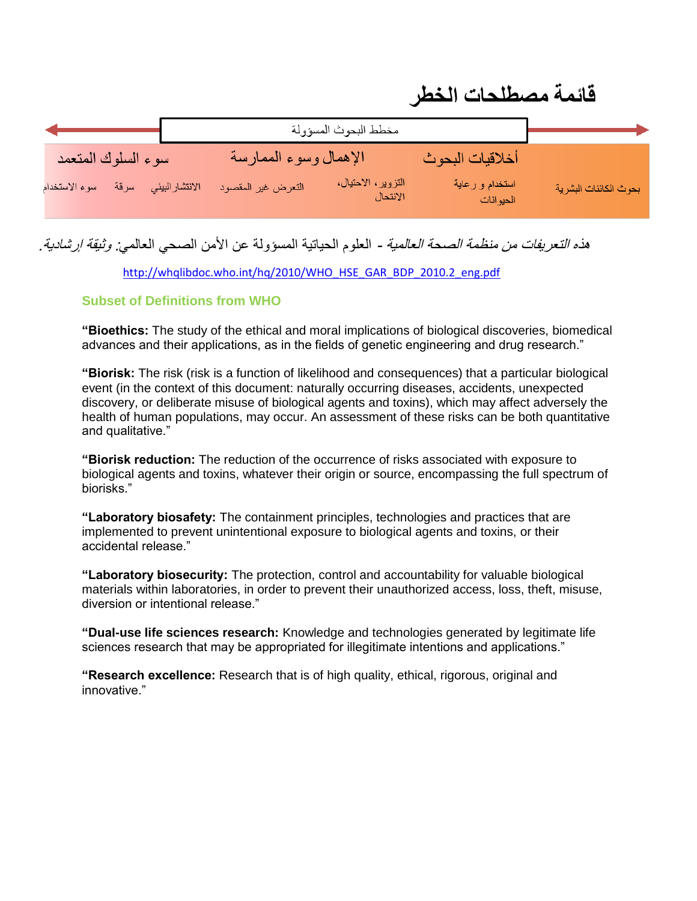| <u>,  ——————————</u>  |                                                                         |                              |                       |
|-----------------------|-------------------------------------------------------------------------|------------------------------|-----------------------|
|                       | مخطط البحوث المسؤولة                                                    |                              |                       |
| سوء السلوك المتعمد    | الإهمال وسوء الممارسة                                                   | أخلاقيات البحوث              |                       |
| سوء الاستخدام<br>سرقة | التزوير، الاحتيال،<br>الانتحال<br>الانتشار البيئي<br>التعرض غير المقصود | استخدام و رعاية<br>الحيوانات | بحوث الكائنات البشرية |

**قائمة مصطلحات الخطر**

### هذ*ه التعريفات من منظمة الصحة العالمية* - العلوم الحياتية المسؤولة عن الأمن الصحي العال*مي: وثيقة إر شادية.*

[http://whqlibdoc.who.int/hq/2010/WHO\\_HSE\\_GAR\\_BDP\\_2010.2\\_eng.pdf](http://whqlibdoc.who.int/hq/2010/WHO_HSE_GAR_BDP_2010.2_eng.pdf)

#### **Subset of Definitions from WHO**

**"Bioethics:** The study of the ethical and moral implications of biological discoveries, biomedical advances and their applications, as in the fields of genetic engineering and drug research."

**"Biorisk:** The risk (risk is a function of likelihood and consequences) that a particular biological event (in the context of this document: naturally occurring diseases, accidents, unexpected discovery, or deliberate misuse of biological agents and toxins), which may affect adversely the health of human populations, may occur. An assessment of these risks can be both quantitative and qualitative."

**"Biorisk reduction:** The reduction of the occurrence of risks associated with exposure to biological agents and toxins, whatever their origin or source, encompassing the full spectrum of biorisks."

**"Laboratory biosafety:** The containment principles, technologies and practices that are implemented to prevent unintentional exposure to biological agents and toxins, or their accidental release."

**"Laboratory biosecurity:** The protection, control and accountability for valuable biological materials within laboratories, in order to prevent their unauthorized access, loss, theft, misuse, diversion or intentional release."

**"Dual-use life sciences research:** Knowledge and technologies generated by legitimate life sciences research that may be appropriated for illegitimate intentions and applications."

**"Research excellence:** Research that is of high quality, ethical, rigorous, original and innovative."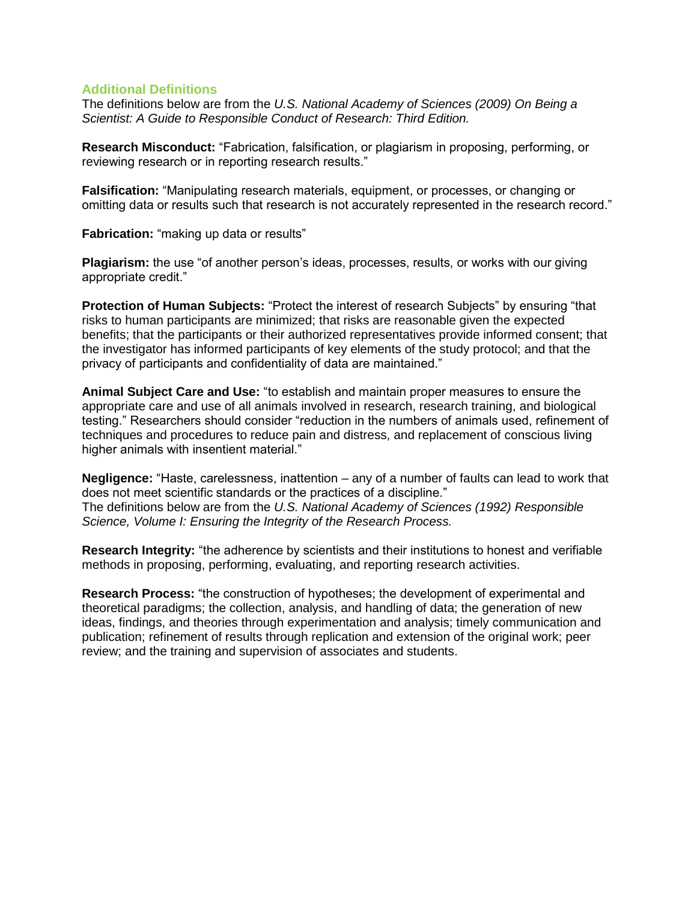#### **Additional Definitions**

The definitions below are from the *U.S. National Academy of Sciences (2009) On Being a Scientist: A Guide to Responsible Conduct of Research: Third Edition.* 

**Research Misconduct:** "Fabrication, falsification, or plagiarism in proposing, performing, or reviewing research or in reporting research results."

**Falsification:** "Manipulating research materials, equipment, or processes, or changing or omitting data or results such that research is not accurately represented in the research record."

**Fabrication:** "making up data or results"

**Plagiarism:** the use "of another person's ideas, processes, results, or works with our giving appropriate credit."

**Protection of Human Subjects:** "Protect the interest of research Subjects" by ensuring "that risks to human participants are minimized; that risks are reasonable given the expected benefits; that the participants or their authorized representatives provide informed consent; that the investigator has informed participants of key elements of the study protocol; and that the privacy of participants and confidentiality of data are maintained."

**Animal Subject Care and Use:** "to establish and maintain proper measures to ensure the appropriate care and use of all animals involved in research, research training, and biological testing." Researchers should consider "reduction in the numbers of animals used, refinement of techniques and procedures to reduce pain and distress, and replacement of conscious living higher animals with insentient material."

**Negligence:** "Haste, carelessness, inattention – any of a number of faults can lead to work that does not meet scientific standards or the practices of a discipline." The definitions below are from the *U.S. National Academy of Sciences (1992) Responsible Science, Volume I: Ensuring the Integrity of the Research Process.* 

**Research Integrity:** "the adherence by scientists and their institutions to honest and verifiable methods in proposing, performing, evaluating, and reporting research activities.

**Research Process:** "the construction of hypotheses; the development of experimental and theoretical paradigms; the collection, analysis, and handling of data; the generation of new ideas, findings, and theories through experimentation and analysis; timely communication and publication; refinement of results through replication and extension of the original work; peer review; and the training and supervision of associates and students.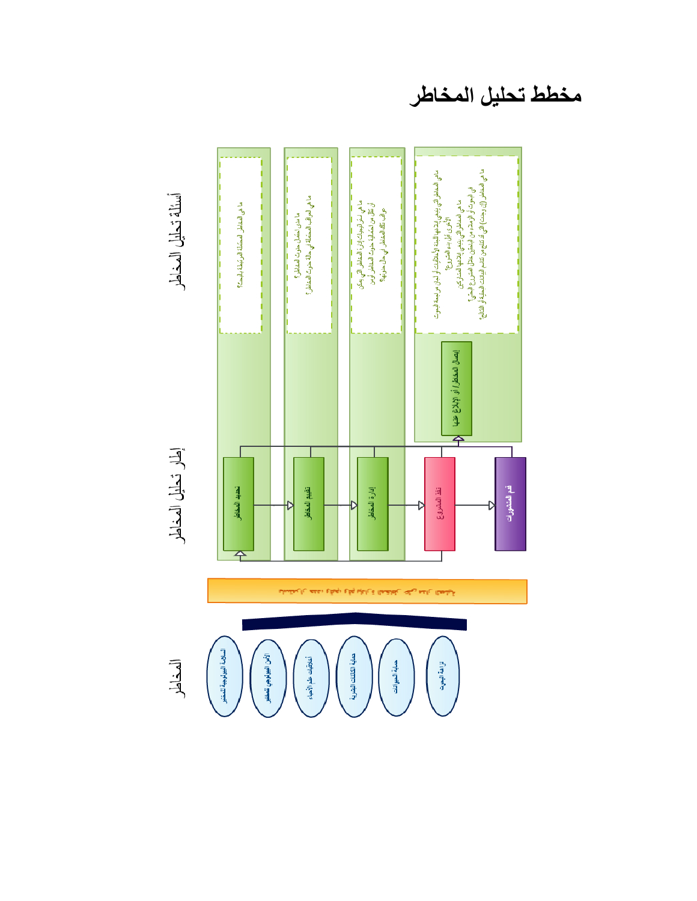ما في المخلفر التي بنيفي إيلاقها للمتاركين<br>في البحرت أو الريلاء من الباحثين خلال المتررع البحرة ؟<br>ما في المخلفر (إن رجنت) التي قد تنتج من تقلب البيلات البحثية أو النتائج؟ ماهي المخاطراتي بينغي إيلاغها البغة الأخلاقيات أو ليان مراجعة البنوت<br>الأخرى قل بند المقرر ما مرض اعتمال حرث المخاطر؟<br>ما هي التواقب المحتملة في حالة حترث المخاطر؟ ما هي المقاطر. المشانة البر بَيْنة باليمت؟ しょうしょう しょうしょう þ י |<br>|יובע קוד ו<br>וויוו ŀ I ŀ ايصال المخاطر/ أو الإيلاغ عنها<br>م تقذ المشروع إدارة المخاطر قدم المنتمورات تحديد المخاطر تقييم المخاطر Đ Ŋ D Ð 至 بتملحه والدهداء وقيعء وقم ببإدارة العشاطن على مدان الحطية

أسئلة تحليل المخاطر

إطار تحليل المخاطر

المخاطر

السلامة اليبولوجية للمقتبر

الأمن البيولوجي للمنتبر حماية الكاثنات البشرية أخلاقيات علم الأحياء حماية الحيوانات تزاهة البعرث

**مخطط تحليل المخاطر**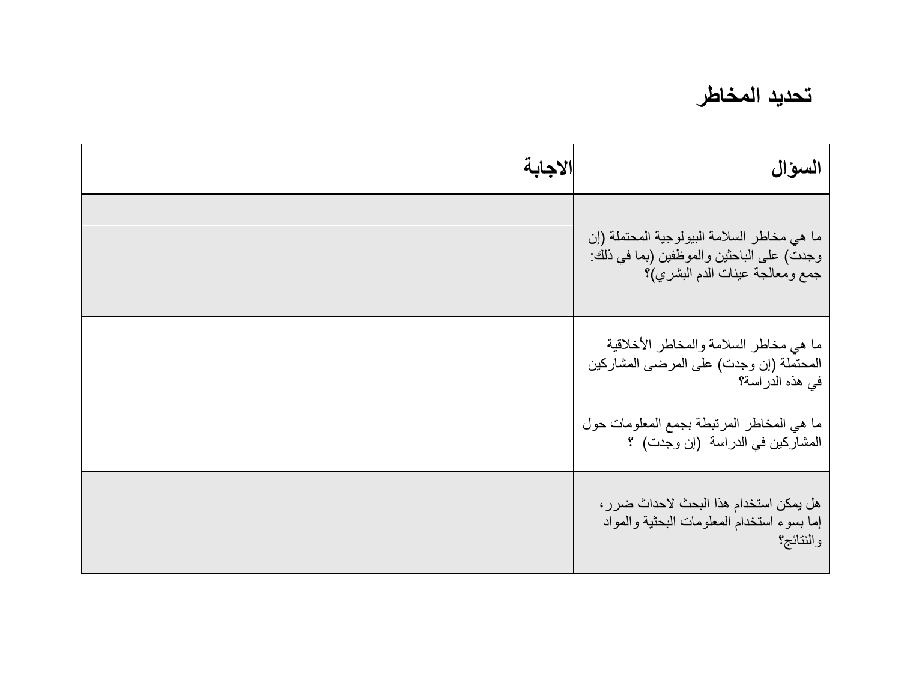### **تحديد المخاطر**

| السوال                                                                                                                      | الاجابة |
|-----------------------------------------------------------------------------------------------------------------------------|---------|
| ما هي مخاطر السلامة البيولوجية المحتملة (إن<br>وجدت) على الباحثين والموظفين (بما في ذلك:<br>جمع ومعالجة عينات الدم البشري)؟ |         |
| ما هي مخاطر السلامة والمخاطر الأخلاقية<br>المحتملة (إن وجدت) على المرضى المشاركين<br>في هذه الدراسة؟                        |         |
| ما هي المخاطر المرتبطة بجمع المعلومات حول<br>المشاركين في الدراسة (إن وجدت) ؟                                               |         |
| هل يمكن استخدام هذا البحث لاحداث ضرر ،<br>إما بسوء استخدام المعلومات البحثية والمواد<br>والنتائج؟                           |         |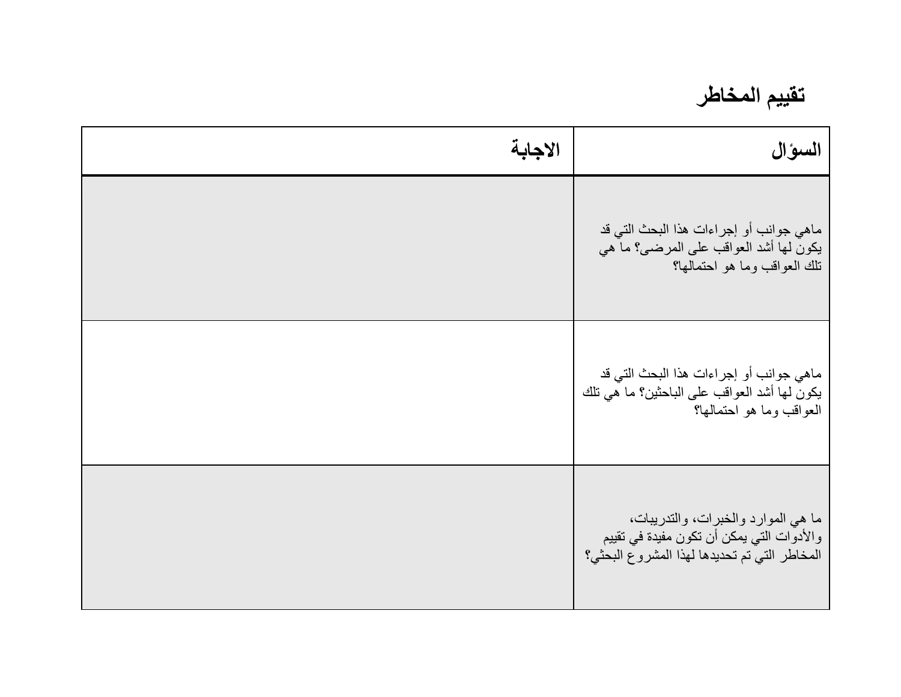**تقييم المخاطر**

| السوال                                                                                                                           | الاجابة |
|----------------------------------------------------------------------------------------------------------------------------------|---------|
| ماهي جوانب أو إجراءات هذا البحث التي قد<br>يكون لها أشد العواقب على المرضى؟ ما هي<br>نلك العواقب وما هو احتمالها؟                |         |
| ماهي جوانب أو إجراءات هذا البحث التي قد<br>يكون لها أشد العواقب على الباحثين؟ ما هي تلك<br>العواقب وما هو احتمالها؟              |         |
| ما هي الموارد والخبرات، والتدريبات،<br>والأدوات التي يمكن أن تكون مفيدة في تقييم<br>المخاطر التي تم تحديدها لهذا المشروع البحثي؟ |         |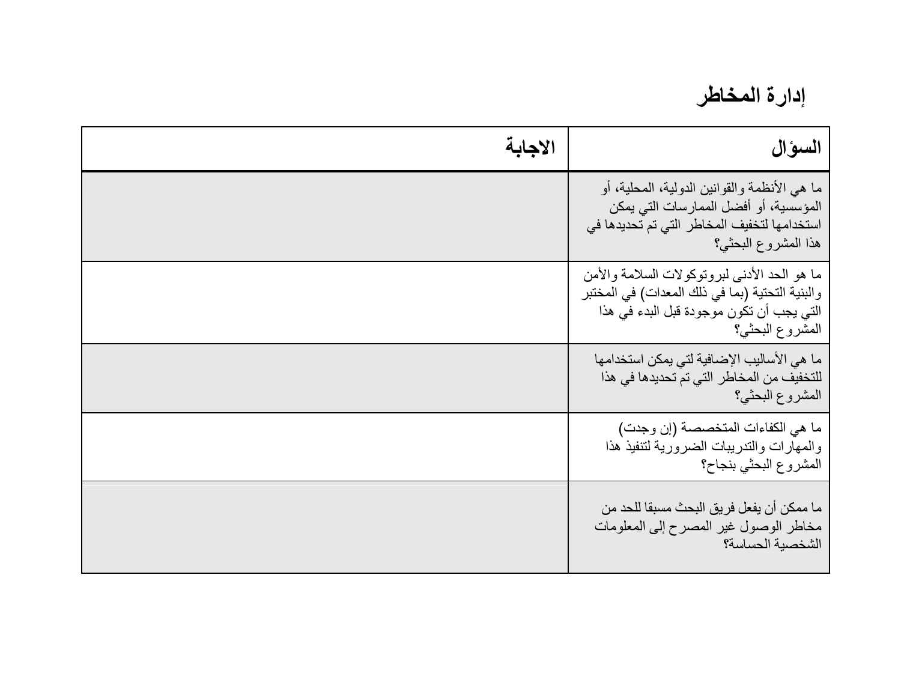**إدارة المخاطر**

| الاجابة | السوال                                                                                                                                                         |
|---------|----------------------------------------------------------------------------------------------------------------------------------------------------------------|
|         | ما هي الأنظمة والقوانين الدولية، المحلية، أو<br>المؤسسية، أو أفضل الممارسات التي يمكن<br>استخدامها لتخفيف المخاطر التي تم تحديدها في<br>هذا المشروع البحثي؟    |
|         | ما هو الحد الأدنى لبروتوكولات السلامة والأمن<br>والبنية التحتية (بما في ذلك المعدات) في المختبر<br>التي يجب أن تكون موجودة قبل البدء في هذا<br>المشروع البحثي؟ |
|         | ما هي الأساليب الإضافية لتي يمكن استخدامها<br>للتخفيف من المخاطر التي تم تحديدها في هذا<br>المشروع البحثي؟                                                     |
|         | ما هي الكفاءات المتخصصة (إن وجدت)<br>والمهارات والتدريبات الضرورية لتنفيذ هذا<br>المشروع البحثي بنجاح؟                                                         |
|         | ما ممكن أن يفعل فريق البحث مسبقا للحد من<br>مخاطر الوصول غير المصرح إلىي المعلومات<br>الشخصية الحساسة؟                                                         |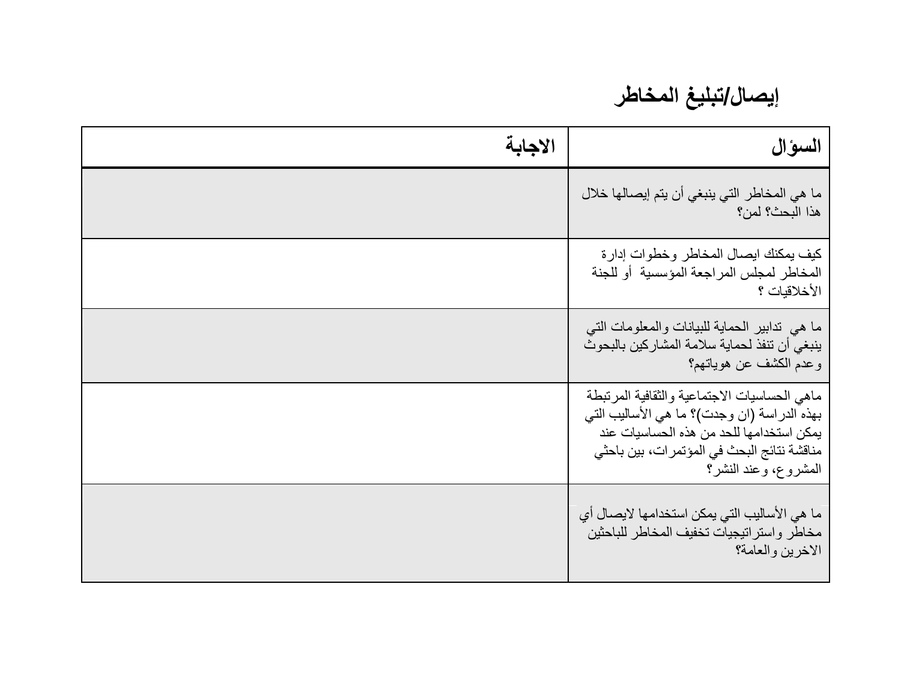# **إيصال/تبليغ المخاطر**

| السوال                                                                                                                                                                                                         | الاجابة |
|----------------------------------------------------------------------------------------------------------------------------------------------------------------------------------------------------------------|---------|
| ما هي المخاطر التي ينبغي أن يتم إيصالها خلال<br>هذا البحث؟ لمن؟                                                                                                                                                |         |
| كيف يمكنك ايصال المخاطر وخطوات إدارة<br>المخاطر لمجلس المراجعة المؤسسية أو للجنة<br>الأخلاقيات ؟                                                                                                               |         |
| ما هي  تدابير  الحماية للبيانات والمعلومات التبي<br>ينبغي أن تنفذ لحماية سلامة المشاركين بالبحوث<br>وعدم الكشف عن هوياتهم؟                                                                                     |         |
| ماهى الحساسيات الاجتماعية والثقافية المرتبطة<br>بهذه الدراسة (ان وجدت)؟ ما هي الأساليب التي<br>يمكن استخدامها للحد من هذه الحساسيات عند<br>مناقشة نتائج البحث في المؤتمر ات، بين باحثي<br>المشروع، وعند النشر؟ |         |
| ما هي الأساليب التي يمكن استخدامها لايصـال أي<br>مخاطر واستراتيجيات تخفيف المخاطر للباحثين<br>الاخرين والعامة؟                                                                                                 |         |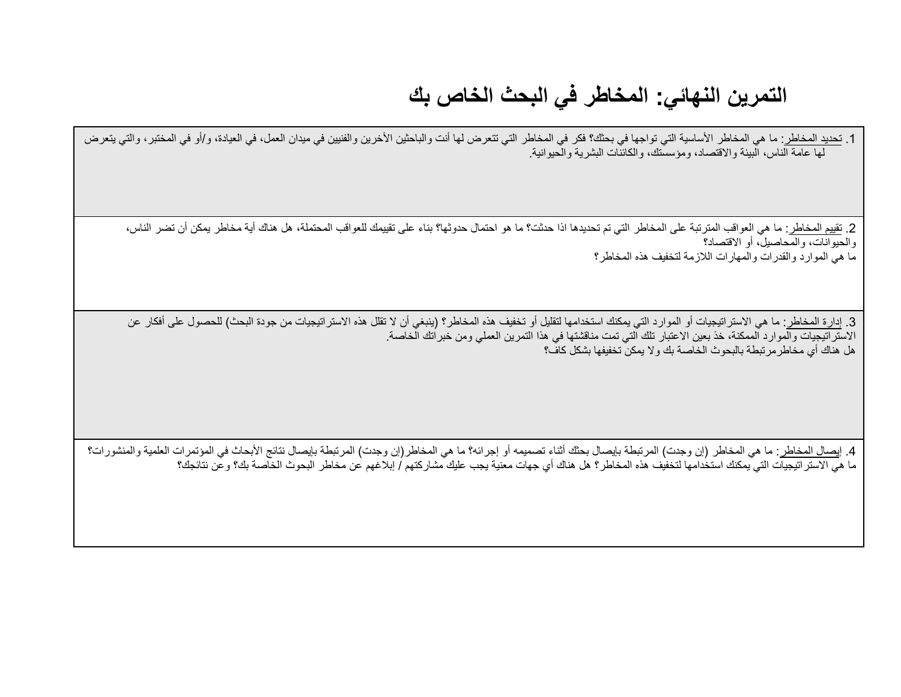## **التمرين النهائي: المخاطر في البحث الخاص بك**

1. تحديد المخاطر: ما هي المخاطر الأساسية التي تواجها في بحثك؟ فكر في المخاطر التي تتعرض لها أنت والباحثين الأخرين والفنيين في ميدان العمل، في العيادة، و/أو في المختبر، والتي يتعرض لها عامة الناس، البيئة واالقتصاد، ومؤسستك، والكائنات البشرية والحيوانية.

2. تقييم المخاطر : ما هي العواقب المترتبة على المخاطر التي تم تحديدها اذا حدثت؟ ما هو تباء على تقييمك للعواقب المحتملة، هل هناك أية مخاطر يمكن أن تضر الناس، والحيوانات، والمحاصيل، أو االقتصاد؟ ما هي الموارد والقدرات والمهارات الالزمة لتخفيف هذه المخاطر؟

3. إدارة المخاطر: ما هي الاستراتيجيات أو الموارد التي يمكنك استخدامها لتقليل أو تخفيف هذه المنبغي أن اللهنا لاستراتيجيات من جودة البحث) للحصول على أفكار عن االستراتيجيات والموارد الممكنة، خذ بعين االعتبار تلك التي تمت مناقشتها في هذا التمرين العملي ومن خبراتك الخاصة. هل هناك أي مخاطرمرتبطة بالبحوث الخاصة بك وال يمكن تخفيفها بشكل كاف؟

4. إي<u>صال المخاطر :</u> ما هي المخاطر (إن وجدت) المرتبطة بإيصال بحثك أثناء تصميمه أو إجرائه؟ ما هي المخاطر(إن وجدت) المرتبطة بإيصال نتائج الأبحاث في المؤتمرات العلمية والمنشورات؟ ما هي الاستراتيجيات التي يمكنك استخدامها لتخفيف هذه المخاطر؟ هل هناك أي جهات معنية يجب عليك مشاركتهم / إبلاغهم عن مخاطر البحوث الخاصة بك؟ وعن نتائجك؟